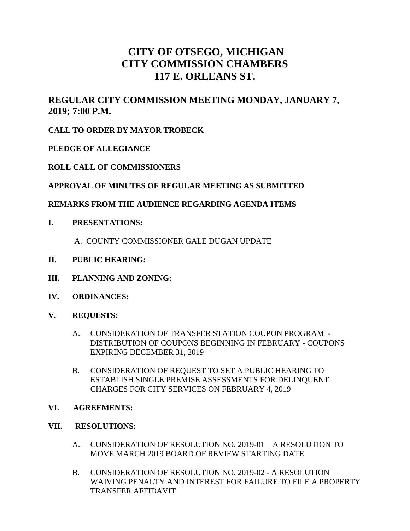# **CITY OF OTSEGO, MICHIGAN CITY COMMISSION CHAMBERS 117 E. ORLEANS ST.**

# **REGULAR CITY COMMISSION MEETING MONDAY, JANUARY 7, 2019; 7:00 P.M.**

# **CALL TO ORDER BY MAYOR TROBECK**

# **PLEDGE OF ALLEGIANCE**

# **ROLL CALL OF COMMISSIONERS**

#### **APPROVAL OF MINUTES OF REGULAR MEETING AS SUBMITTED**

#### **REMARKS FROM THE AUDIENCE REGARDING AGENDA ITEMS**

**I. PRESENTATIONS:**

A. COUNTY COMMISSIONER GALE DUGAN UPDATE

- **II. PUBLIC HEARING:**
- **III. PLANNING AND ZONING:**
- **IV. ORDINANCES:**
- **V. REQUESTS:**
	- A. CONSIDERATION OF TRANSFER STATION COUPON PROGRAM DISTRIBUTION OF COUPONS BEGINNING IN FEBRUARY - COUPONS EXPIRING DECEMBER 31, 2019
	- B. CONSIDERATION OF REQUEST TO SET A PUBLIC HEARING TO ESTABLISH SINGLE PREMISE ASSESSMENTS FOR DELINQUENT CHARGES FOR CITY SERVICES ON FEBRUARY 4, 2019
- **VI. AGREEMENTS:**

#### **VII. RESOLUTIONS:**

- A. CONSIDERATION OF RESOLUTION NO. 2019-01 A RESOLUTION TO MOVE MARCH 2019 BOARD OF REVIEW STARTING DATE
- B. CONSIDERATION OF RESOLUTION NO. 2019-02 A RESOLUTION WAIVING PENALTY AND INTEREST FOR FAILURE TO FILE A PROPERTY TRANSFER AFFIDAVIT